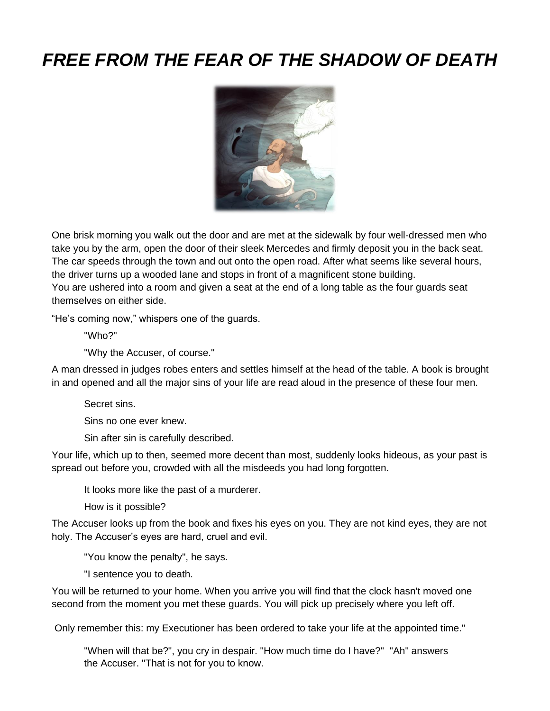# *FREE FROM THE FEAR OF THE SHADOW OF DEATH*



One brisk morning you walk out the door and are met at the sidewalk by four well-dressed men who take you by the arm, open the door of their sleek Mercedes and firmly deposit you in the back seat. The car speeds through the town and out onto the open road. After what seems like several hours, the driver turns up a wooded lane and stops in front of a magnificent stone building. You are ushered into a room and given a seat at the end of a long table as the four guards seat themselves on either side.

"He's coming now," whispers one of the guards.

"Who?"

"Why the Accuser, of course."

A man dressed in judges robes enters and settles himself at the head of the table. A book is brought in and opened and all the major sins of your life are read aloud in the presence of these four men.

Secret sins.

Sins no one ever knew.

Sin after sin is carefully described.

Your life, which up to then, seemed more decent than most, suddenly looks hideous, as your past is spread out before you, crowded with all the misdeeds you had long forgotten.

It looks more like the past of a murderer.

How is it possible?

The Accuser looks up from the book and fixes his eyes on you. They are not kind eyes, they are not holy. The Accuser's eyes are hard, cruel and evil.

"You know the penalty", he says.

"I sentence you to death.

You will be returned to your home. When you arrive you will find that the clock hasn't moved one second from the moment you met these guards. You will pick up precisely where you left off.

Only remember this: my Executioner has been ordered to take your life at the appointed time."

"When will that be?", you cry in despair. "How much time do I have?" "Ah" answers the Accuser. "That is not for you to know.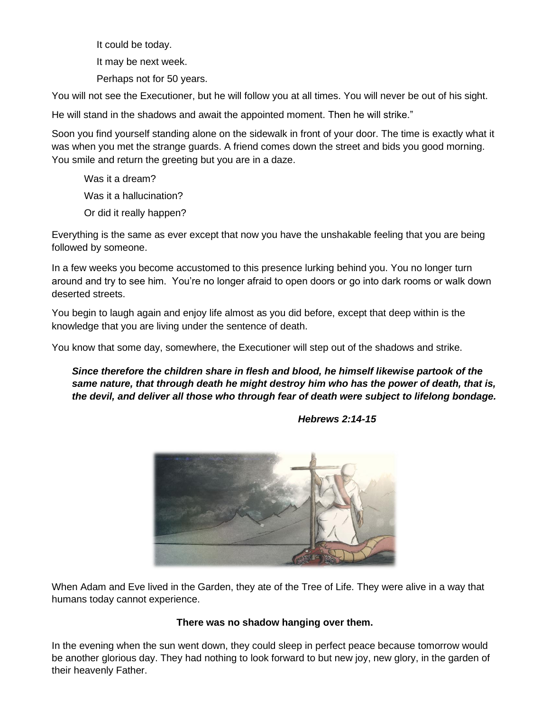It could be today.

It may be next week.

Perhaps not for 50 years.

You will not see the Executioner, but he will follow you at all times. You will never be out of his sight.

He will stand in the shadows and await the appointed moment. Then he will strike."

Soon you find yourself standing alone on the sidewalk in front of your door. The time is exactly what it was when you met the strange guards. A friend comes down the street and bids you good morning. You smile and return the greeting but you are in a daze.

Was it a dream? Was it a hallucination? Or did it really happen?

Everything is the same as ever except that now you have the unshakable feeling that you are being followed by someone.

In a few weeks you become accustomed to this presence lurking behind you. You no longer turn around and try to see him. You're no longer afraid to open doors or go into dark rooms or walk down deserted streets.

You begin to laugh again and enjoy life almost as you did before, except that deep within is the knowledge that you are living under the sentence of death.

You know that some day, somewhere, the Executioner will step out of the shadows and strike.

*Since therefore the children share in flesh and blood, he himself likewise partook of the same nature, that through death he might destroy him who has the power of death, that is, the devil, and deliver all those who through fear of death were subject to lifelong bondage.* 

*Hebrews 2:14-15*



When Adam and Eve lived in the Garden, they ate of the Tree of Life. They were alive in a way that humans today cannot experience.

#### **There was no shadow hanging over them.**

In the evening when the sun went down, they could sleep in perfect peace because tomorrow would be another glorious day. They had nothing to look forward to but new joy, new glory, in the garden of their heavenly Father.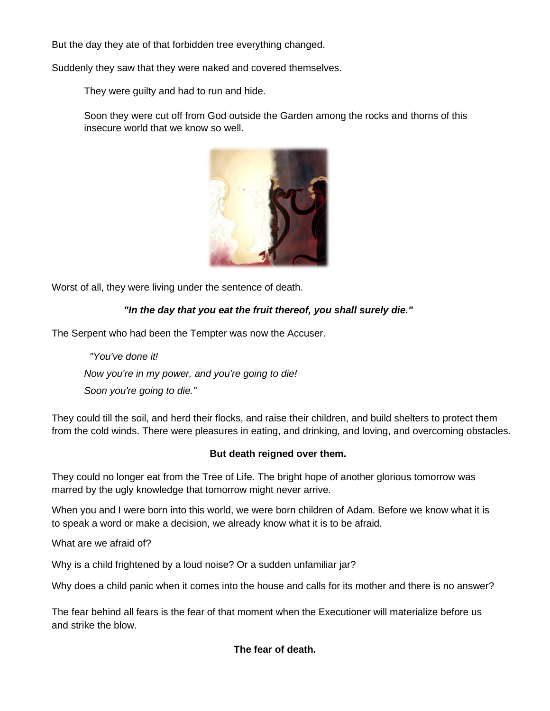But the day they ate of that forbidden tree everything changed.

Suddenly they saw that they were naked and covered themselves.

They were guilty and had to run and hide.

Soon they were cut off from God outside the Garden among the rocks and thorns of this insecure world that we know so well.



Worst of all, they were living under the sentence of death.

# *"In the day that you eat the fruit thereof, you shall surely die."*

The Serpent who had been the Tempter was now the Accuser.

 *"You've done it! Now you're in my power, and you're going to die! Soon you're going to die."* 

They could till the soil, and herd their flocks, and raise their children, and build shelters to protect them from the cold winds. There were pleasures in eating, and drinking, and loving, and overcoming obstacles.

#### **But death reigned over them.**

They could no longer eat from the Tree of Life. The bright hope of another glorious tomorrow was marred by the ugly knowledge that tomorrow might never arrive.

When you and I were born into this world, we were born children of Adam. Before we know what it is to speak a word or make a decision, we already know what it is to be afraid.

What are we afraid of?

Why is a child frightened by a loud noise? Or a sudden unfamiliar jar?

Why does a child panic when it comes into the house and calls for its mother and there is no answer?

The fear behind all fears is the fear of that moment when the Executioner will materialize before us and strike the blow.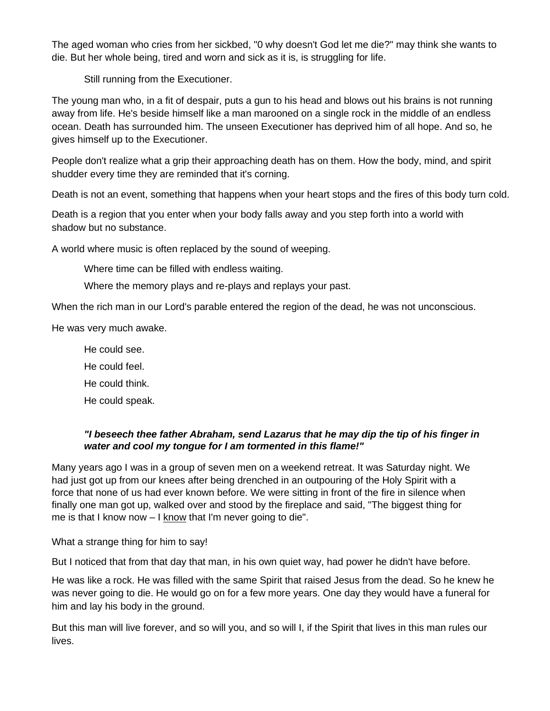The aged woman who cries from her sickbed, "0 why doesn't God let me die?" may think she wants to die. But her whole being, tired and worn and sick as it is, is struggling for life.

Still running from the Executioner.

The young man who, in a fit of despair, puts a gun to his head and blows out his brains is not running away from life. He's beside himself like a man marooned on a single rock in the middle of an endless ocean. Death has surrounded him. The unseen Executioner has deprived him of all hope. And so, he gives himself up to the Executioner.

People don't realize what a grip their approaching death has on them. How the body, mind, and spirit shudder every time they are reminded that it's corning.

Death is not an event, something that happens when your heart stops and the fires of this body turn cold.

Death is a region that you enter when your body falls away and you step forth into a world with shadow but no substance.

A world where music is often replaced by the sound of weeping.

Where time can be filled with endless waiting.

Where the memory plays and re-plays and replays your past.

When the rich man in our Lord's parable entered the region of the dead, he was not unconscious.

He was very much awake.

He could see. He could feel. He could think. He could speak.

#### *"I beseech thee father Abraham, send Lazarus that he may dip the tip of his finger in water and cool my tongue for I am tormented in this flame!"*

Many years ago I was in a group of seven men on a weekend retreat. It was Saturday night. We had just got up from our knees after being drenched in an outpouring of the Holy Spirit with a force that none of us had ever known before. We were sitting in front of the fire in silence when finally one man got up, walked over and stood by the fireplace and said, "The biggest thing for me is that I know now  $-1$  know that I'm never going to die".

What a strange thing for him to say!

But I noticed that from that day that man, in his own quiet way, had power he didn't have before.

He was like a rock. He was filled with the same Spirit that raised Jesus from the dead. So he knew he was never going to die. He would go on for a few more years. One day they would have a funeral for him and lay his body in the ground.

But this man will live forever, and so will you, and so will I, if the Spirit that lives in this man rules our lives.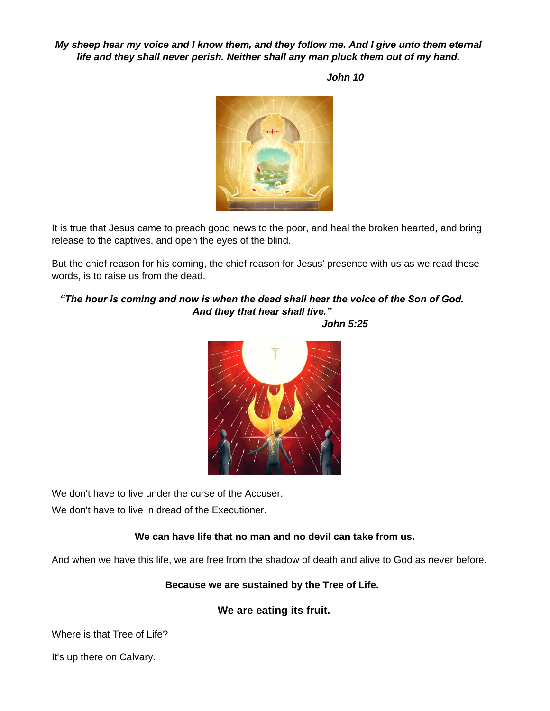*My sheep hear my voice and I know them, and they follow me. And I give unto them eternal life and they shall never perish. Neither shall any man pluck them out of my hand.*

 *John 10* 



It is true that Jesus came to preach good news to the poor, and heal the broken hearted, and bring release to the captives, and open the eyes of the blind.

But the chief reason for his coming, the chief reason for Jesus' presence with us as we read these words, is to raise us from the dead.

#### *"The hour is coming and now is when the dead shall hear the voice of the Son of God. And they that hear shall live."*

 *John 5:25*



We don't have to live under the curse of the Accuser.

We don't have to live in dread of the Executioner.

#### **We can have life that no man and no devil can take from us.**

And when we have this life, we are free from the shadow of death and alive to God as never before.

**Because we are sustained by the Tree of Life.**

**We are eating its fruit.**

Where is that Tree of Life?

It's up there on Calvary.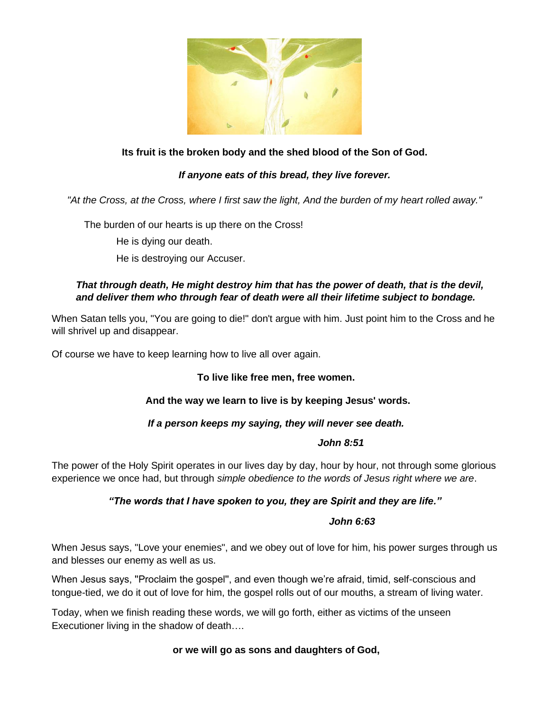

# **Its fruit is the broken body and the shed blood of the Son of God.**

### *If anyone eats of this bread, they live forever.*

*"At the Cross, at the Cross, where I first saw the light, And the burden of my heart rolled away."* 

The burden of our hearts is up there on the Cross!

He is dying our death.

He is destroying our Accuser.

# *That through death, He might destroy him that has the power of death, that is the devil, and deliver them who through fear of death were all their lifetime subject to bondage.*

When Satan tells you, "You are going to die!" don't argue with him. Just point him to the Cross and he will shrivel up and disappear.

Of course we have to keep learning how to live all over again.

#### **To live like free men, free women.**

#### **And the way we learn to live is by keeping Jesus' words.**

#### *If a person keeps my saying, they will never see death.*

#### *John 8:51*

The power of the Holy Spirit operates in our lives day by day, hour by hour, not through some glorious experience we once had, but through *simple obedience to the words of Jesus right where we are*.

#### *"The words that I have spoken to you, they are Spirit and they are life."*

#### *John 6:63*

When Jesus says, "Love your enemies", and we obey out of love for him, his power surges through us and blesses our enemy as well as us.

When Jesus says, ''Proclaim the gospel'', and even though we're afraid, timid, self-conscious and tongue-tied, we do it out of love for him, the gospel rolls out of our mouths, a stream of living water.

Today, when we finish reading these words, we will go forth, either as victims of the unseen Executioner living in the shadow of death….

#### **or we will go as sons and daughters of God,**